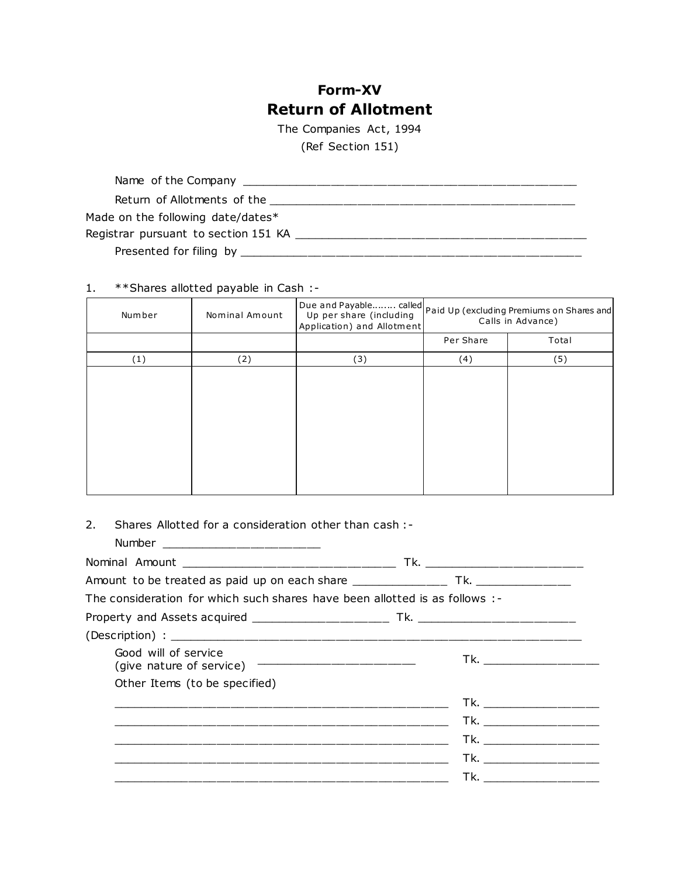## **Form-XV Return of Allotment**

The Companies Act, 1994 (Ref Section 151)

| Name of the Company                  |  |
|--------------------------------------|--|
| Return of Allotments of the          |  |
| Made on the following date/dates*    |  |
| Registrar pursuant to section 151 KA |  |
| Presented for filing by              |  |

1. \*\*Shares allotted payable in Cash :-

| Number | Nominal Amount | Up per share (including<br>Application) and Allotment | Due and Payable called Paid Up (excluding Premiums on Shares and<br>Calls in Advance) |       |
|--------|----------------|-------------------------------------------------------|---------------------------------------------------------------------------------------|-------|
|        |                |                                                       | Per Share                                                                             | Total |
| (1)    | (2)            | (3)                                                   | (4)                                                                                   | (5)   |
|        |                |                                                       |                                                                                       |       |
|        |                |                                                       |                                                                                       |       |

| Shares Allotted for a consideration other than cash :- |
|--------------------------------------------------------|
| Number                                                 |

| The consideration for which such shares have been allotted is as follows :- |  |
|-----------------------------------------------------------------------------|--|
|                                                                             |  |
|                                                                             |  |
| Good will of service                                                        |  |
| Other Items (to be specified)                                               |  |
|                                                                             |  |
|                                                                             |  |
|                                                                             |  |
|                                                                             |  |
|                                                                             |  |
|                                                                             |  |